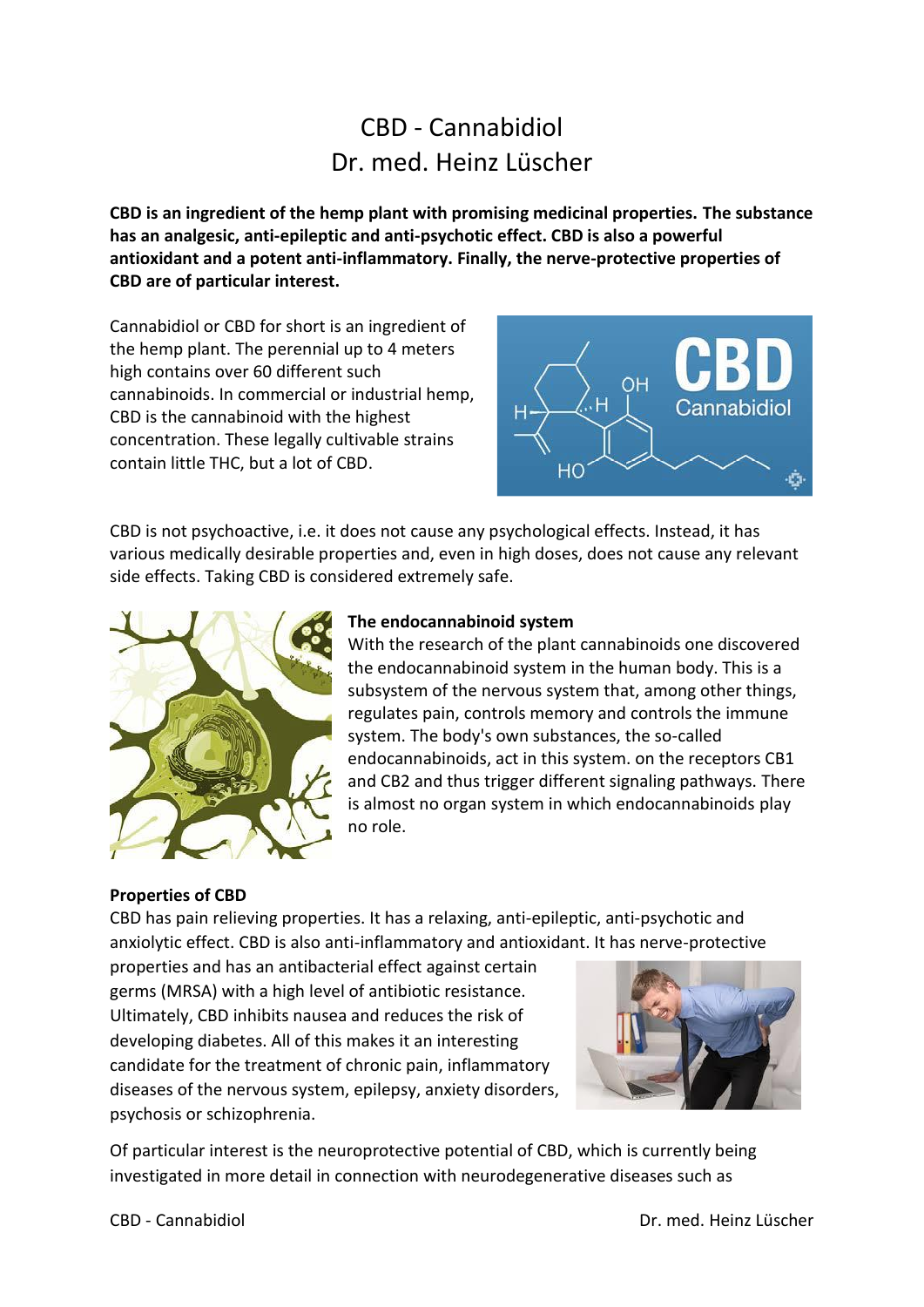# CBD - Cannabidiol Dr. med. Heinz Lüscher

**CBD is an ingredient of the hemp plant with promising medicinal properties. The substance has an analgesic, anti-epileptic and anti-psychotic effect. CBD is also a powerful antioxidant and a potent anti-inflammatory. Finally, the nerve-protective properties of CBD are of particular interest.**

Cannabidiol or CBD for short is an ingredient of the hemp plant. The perennial up to 4 meters high contains over 60 different such cannabinoids. In commercial or industrial hemp, CBD is the cannabinoid with the highest concentration. These legally cultivable strains contain little THC, but a lot of CBD.



CBD is not psychoactive, i.e. it does not cause any psychological effects. Instead, it has various medically desirable properties and, even in high doses, does not cause any relevant side effects. Taking CBD is considered extremely safe.



# **The endocannabinoid system**

With the research of the plant cannabinoids one discovered the endocannabinoid system in the human body. This is a subsystem of the nervous system that, among other things, regulates pain, controls memory and controls the immune system. The body's own substances, the so-called endocannabinoids, act in this system. on the receptors CB1 and CB2 and thus trigger different signaling pathways. There is almost no organ system in which endocannabinoids play no role.

# **Properties of CBD**

CBD has pain relieving properties. It has a relaxing, anti-epileptic, anti-psychotic and anxiolytic effect. CBD is also anti-inflammatory and antioxidant. It has nerve-protective

properties and has an antibacterial effect against certain germs (MRSA) with a high level of antibiotic resistance. Ultimately, CBD inhibits nausea and reduces the risk of developing diabetes. All of this makes it an interesting candidate for the treatment of chronic pain, inflammatory diseases of the nervous system, epilepsy, anxiety disorders, psychosis or schizophrenia.



Of particular interest is the neuroprotective potential of CBD, which is currently being investigated in more detail in connection with neurodegenerative diseases such as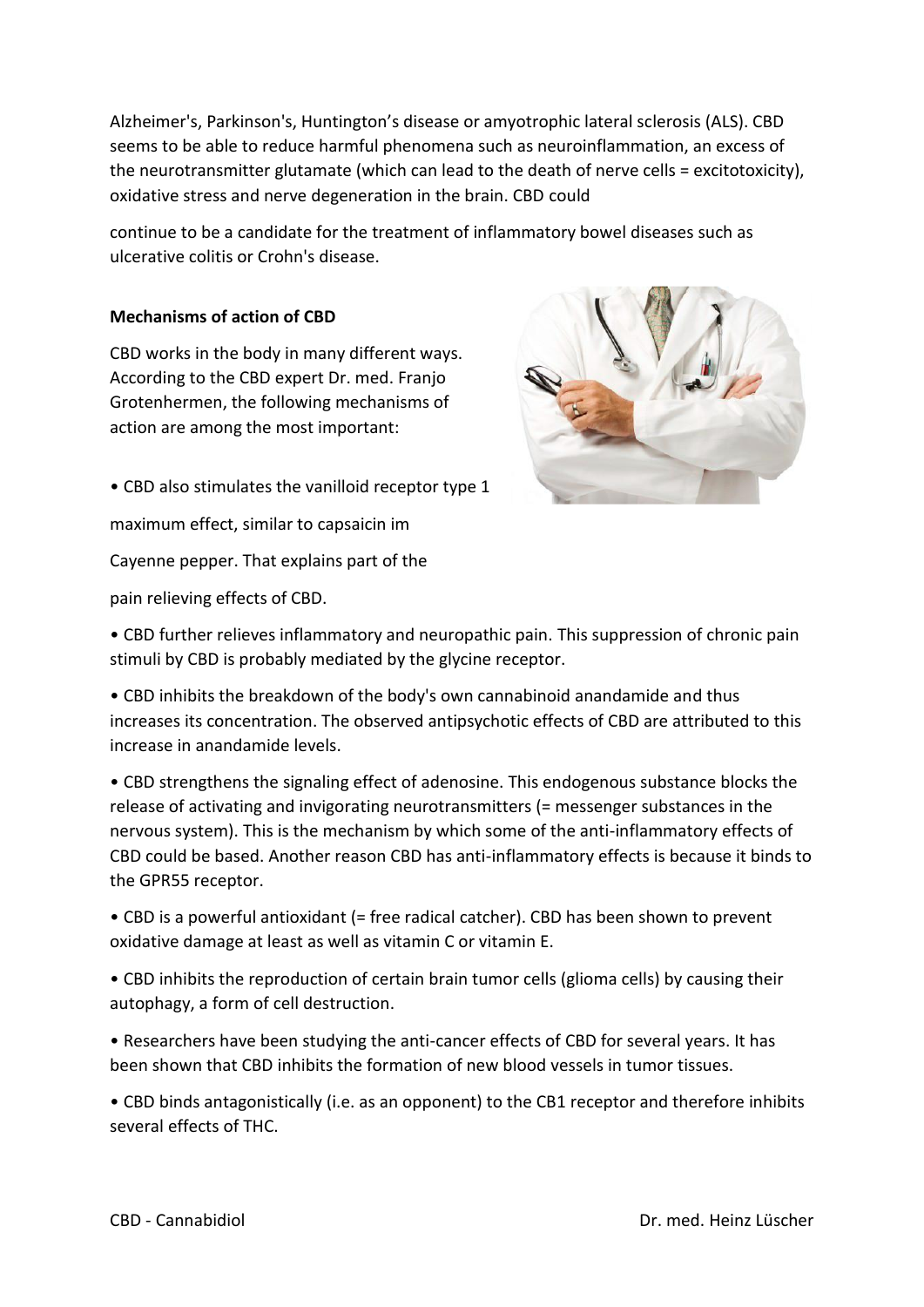Alzheimer's, Parkinson's, Huntington's disease or amyotrophic lateral sclerosis (ALS). CBD seems to be able to reduce harmful phenomena such as neuroinflammation, an excess of the neurotransmitter glutamate (which can lead to the death of nerve cells = excitotoxicity), oxidative stress and nerve degeneration in the brain. CBD could

continue to be a candidate for the treatment of inflammatory bowel diseases such as ulcerative colitis or Crohn's disease.

# **Mechanisms of action of CBD**

CBD works in the body in many different ways. According to the CBD expert Dr. med. Franjo Grotenhermen, the following mechanisms of action are among the most important:



• CBD also stimulates the vanilloid receptor type 1

maximum effect, similar to capsaicin im

Cayenne pepper. That explains part of the

pain relieving effects of CBD.

• CBD further relieves inflammatory and neuropathic pain. This suppression of chronic pain stimuli by CBD is probably mediated by the glycine receptor.

• CBD inhibits the breakdown of the body's own cannabinoid anandamide and thus increases its concentration. The observed antipsychotic effects of CBD are attributed to this increase in anandamide levels.

• CBD strengthens the signaling effect of adenosine. This endogenous substance blocks the release of activating and invigorating neurotransmitters (= messenger substances in the nervous system). This is the mechanism by which some of the anti-inflammatory effects of CBD could be based. Another reason CBD has anti-inflammatory effects is because it binds to the GPR55 receptor.

• CBD is a powerful antioxidant (= free radical catcher). CBD has been shown to prevent oxidative damage at least as well as vitamin C or vitamin E.

• CBD inhibits the reproduction of certain brain tumor cells (glioma cells) by causing their autophagy, a form of cell destruction.

• Researchers have been studying the anti-cancer effects of CBD for several years. It has been shown that CBD inhibits the formation of new blood vessels in tumor tissues.

• CBD binds antagonistically (i.e. as an opponent) to the CB1 receptor and therefore inhibits several effects of THC.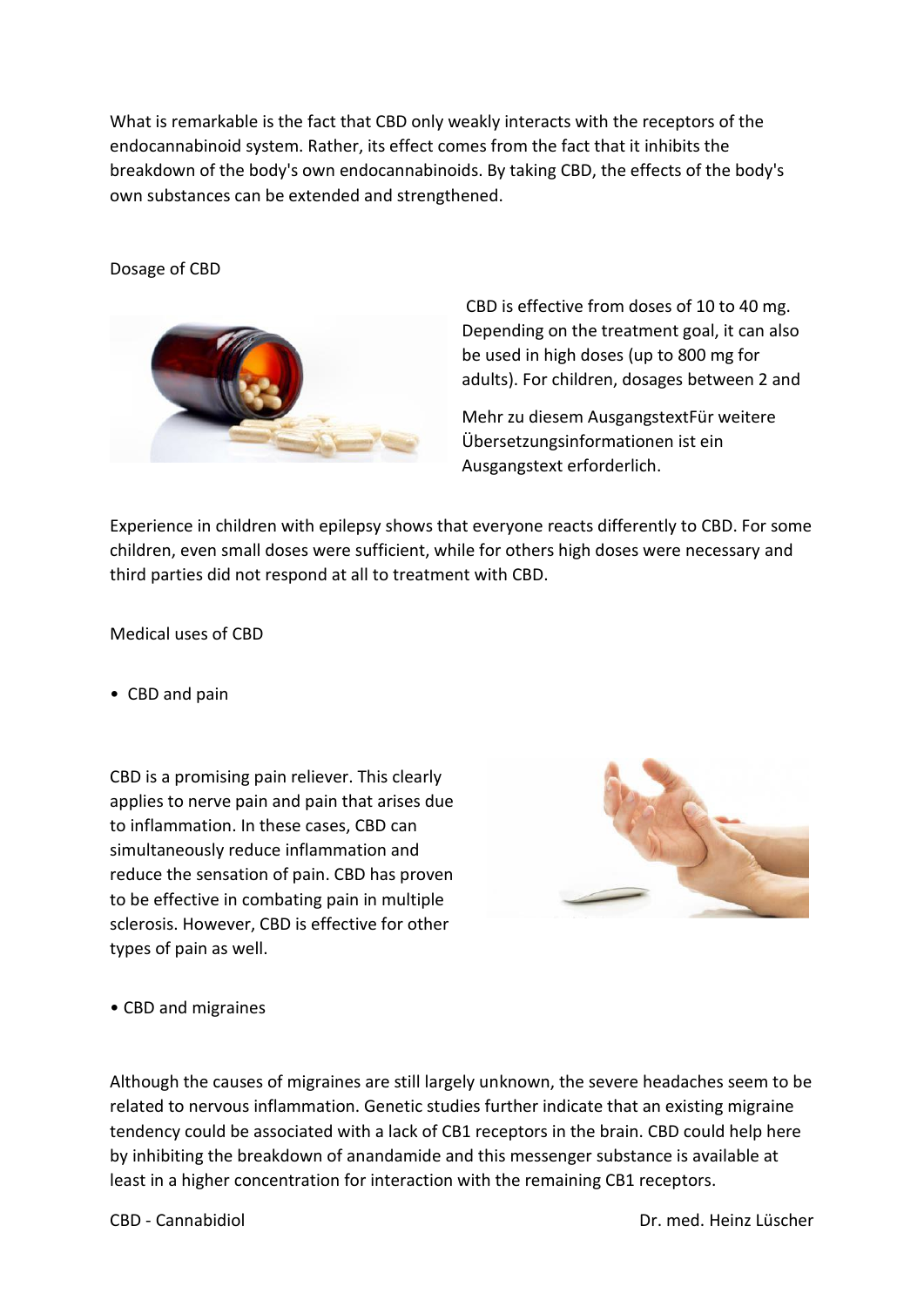What is remarkable is the fact that CBD only weakly interacts with the receptors of the endocannabinoid system. Rather, its effect comes from the fact that it inhibits the breakdown of the body's own endocannabinoids. By taking CBD, the effects of the body's own substances can be extended and strengthened.

#### Dosage of CBD



CBD is effective from doses of 10 to 40 mg. Depending on the treatment goal, it can also be used in high doses (up to 800 mg for adults). For children, dosages between 2 and

Mehr zu diesem AusgangstextFür weitere Übersetzungsinformationen ist ein Ausgangstext erforderlich.

Experience in children with epilepsy shows that everyone reacts differently to CBD. For some children, even small doses were sufficient, while for others high doses were necessary and third parties did not respond at all to treatment with CBD.

Medical uses of CBD

• CBD and pain

CBD is a promising pain reliever. This clearly applies to nerve pain and pain that arises due to inflammation. In these cases, CBD can simultaneously reduce inflammation and reduce the sensation of pain. CBD has proven to be effective in combating pain in multiple sclerosis. However, CBD is effective for other types of pain as well.



• CBD and migraines

Although the causes of migraines are still largely unknown, the severe headaches seem to be related to nervous inflammation. Genetic studies further indicate that an existing migraine tendency could be associated with a lack of CB1 receptors in the brain. CBD could help here by inhibiting the breakdown of anandamide and this messenger substance is available at least in a higher concentration for interaction with the remaining CB1 receptors.

CBD - Cannabidiol Dr. med. Heinz Lüscher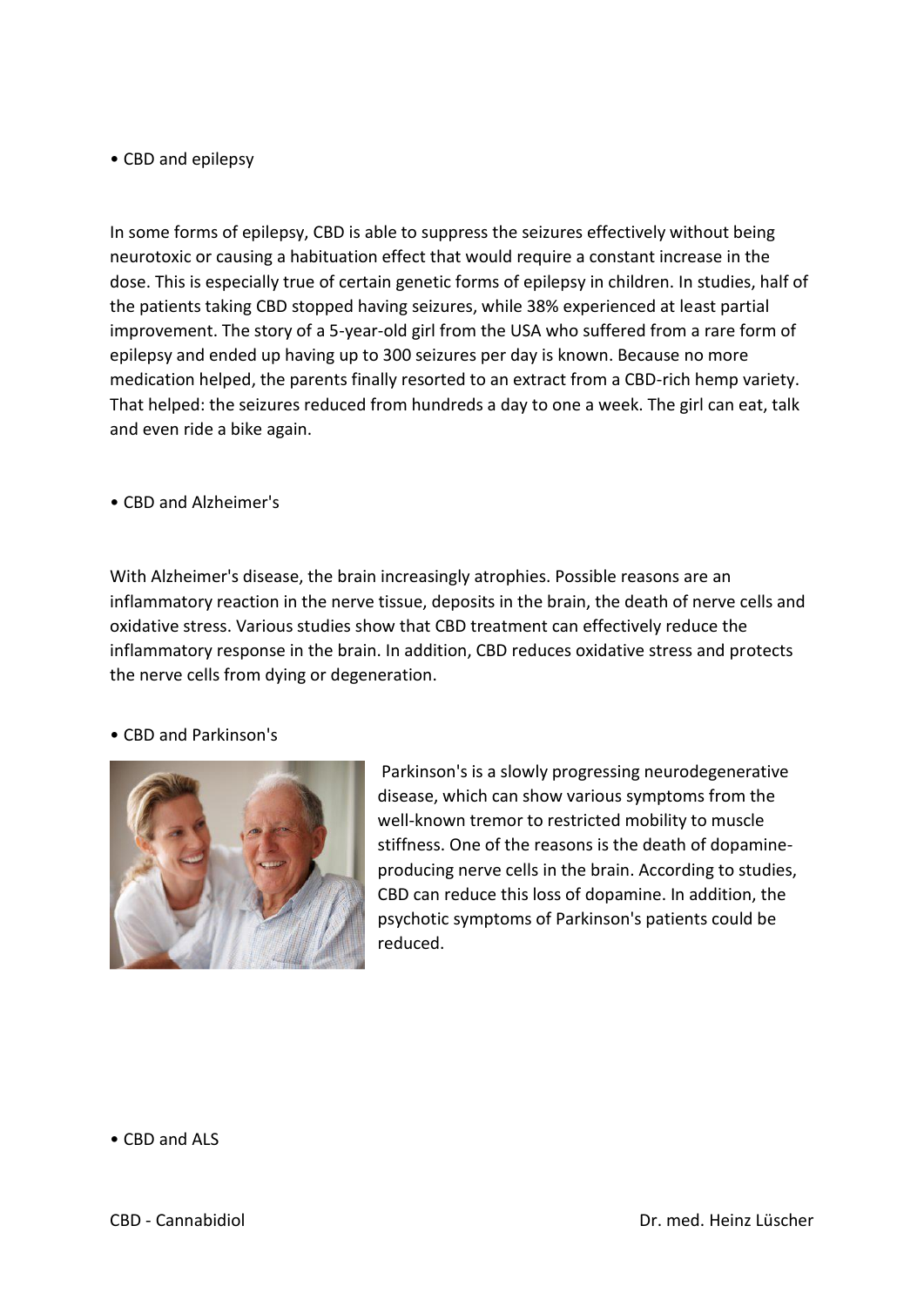## • CBD and epilepsy

In some forms of epilepsy, CBD is able to suppress the seizures effectively without being neurotoxic or causing a habituation effect that would require a constant increase in the dose. This is especially true of certain genetic forms of epilepsy in children. In studies, half of the patients taking CBD stopped having seizures, while 38% experienced at least partial improvement. The story of a 5-year-old girl from the USA who suffered from a rare form of epilepsy and ended up having up to 300 seizures per day is known. Because no more medication helped, the parents finally resorted to an extract from a CBD-rich hemp variety. That helped: the seizures reduced from hundreds a day to one a week. The girl can eat, talk and even ride a bike again.

• CBD and Alzheimer's

With Alzheimer's disease, the brain increasingly atrophies. Possible reasons are an inflammatory reaction in the nerve tissue, deposits in the brain, the death of nerve cells and oxidative stress. Various studies show that CBD treatment can effectively reduce the inflammatory response in the brain. In addition, CBD reduces oxidative stress and protects the nerve cells from dying or degeneration.

#### • CBD and Parkinson's



Parkinson's is a slowly progressing neurodegenerative disease, which can show various symptoms from the well-known tremor to restricted mobility to muscle stiffness. One of the reasons is the death of dopamineproducing nerve cells in the brain. According to studies, CBD can reduce this loss of dopamine. In addition, the psychotic symptoms of Parkinson's patients could be reduced.

• CBD and ALS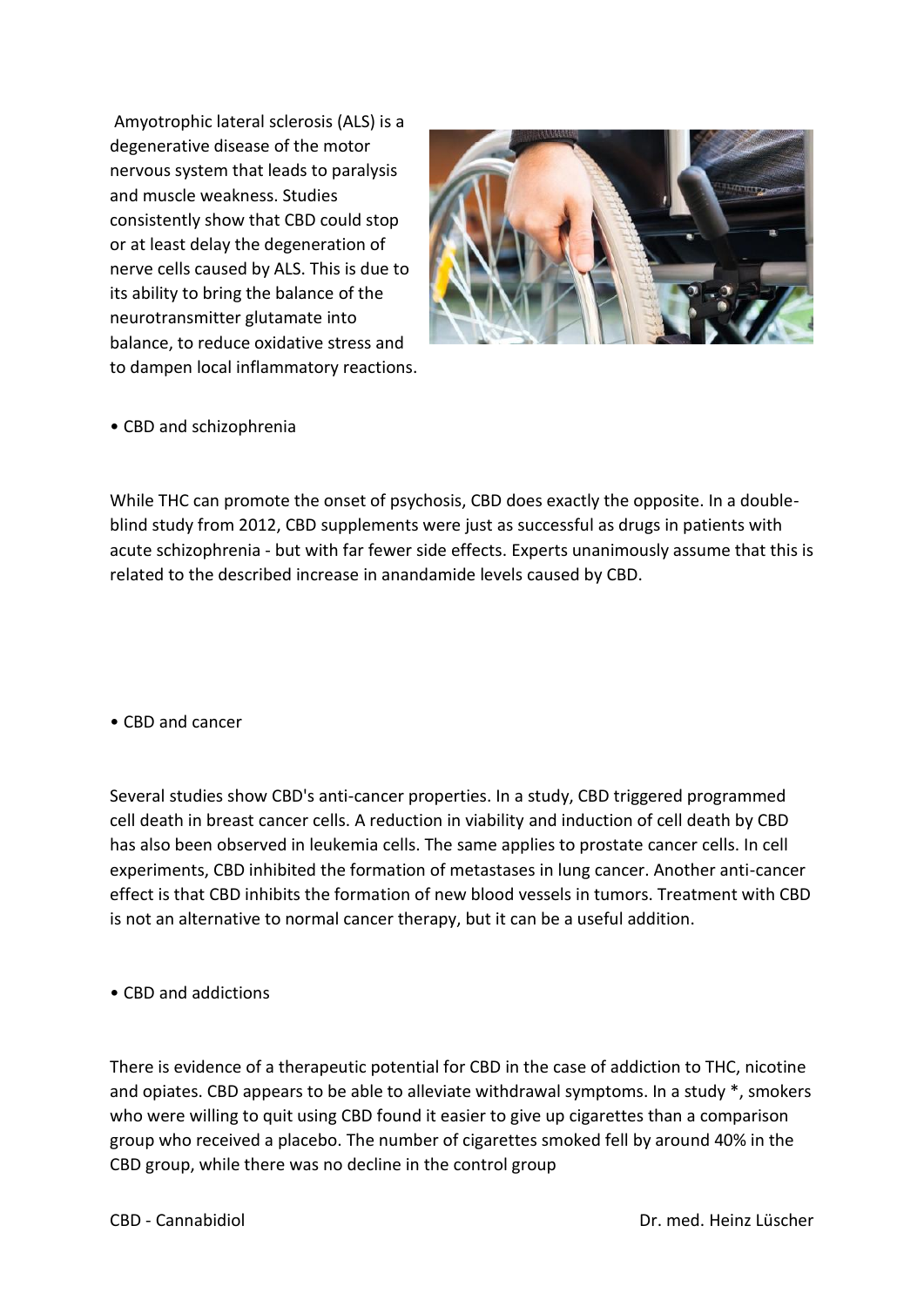Amyotrophic lateral sclerosis (ALS) is a degenerative disease of the motor nervous system that leads to paralysis and muscle weakness. Studies consistently show that CBD could stop or at least delay the degeneration of nerve cells caused by ALS. This is due to its ability to bring the balance of the neurotransmitter glutamate into balance, to reduce oxidative stress and to dampen local inflammatory reactions.



• CBD and schizophrenia

While THC can promote the onset of psychosis, CBD does exactly the opposite. In a doubleblind study from 2012, CBD supplements were just as successful as drugs in patients with acute schizophrenia - but with far fewer side effects. Experts unanimously assume that this is related to the described increase in anandamide levels caused by CBD.

• CBD and cancer

Several studies show CBD's anti-cancer properties. In a study, CBD triggered programmed cell death in breast cancer cells. A reduction in viability and induction of cell death by CBD has also been observed in leukemia cells. The same applies to prostate cancer cells. In cell experiments, CBD inhibited the formation of metastases in lung cancer. Another anti-cancer effect is that CBD inhibits the formation of new blood vessels in tumors. Treatment with CBD is not an alternative to normal cancer therapy, but it can be a useful addition.

• CBD and addictions

There is evidence of a therapeutic potential for CBD in the case of addiction to THC, nicotine and opiates. CBD appears to be able to alleviate withdrawal symptoms. In a study \*, smokers who were willing to quit using CBD found it easier to give up cigarettes than a comparison group who received a placebo. The number of cigarettes smoked fell by around 40% in the CBD group, while there was no decline in the control group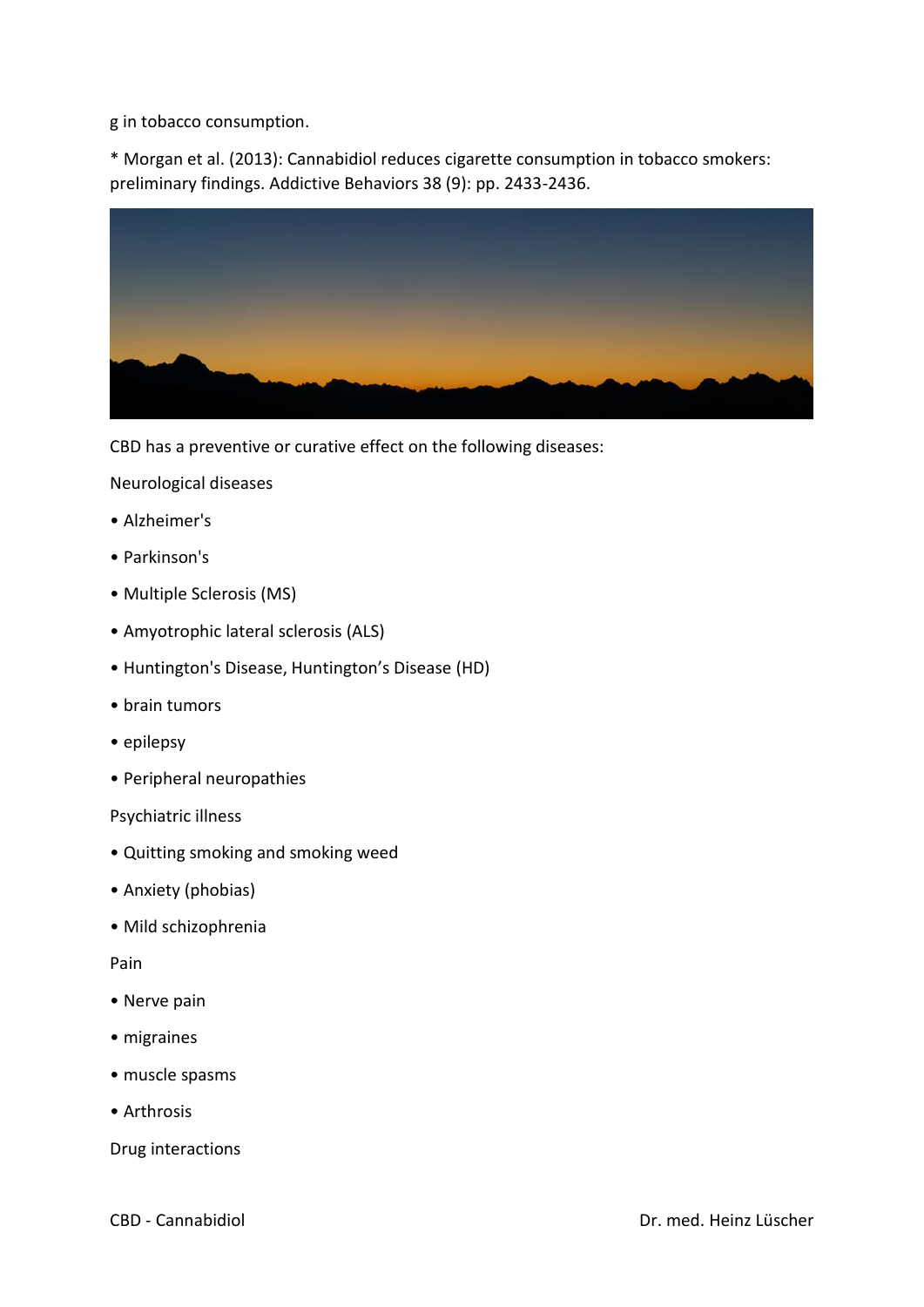g in tobacco consumption.

\* Morgan et al. (2013): Cannabidiol reduces cigarette consumption in tobacco smokers: preliminary findings. Addictive Behaviors 38 (9): pp. 2433-2436.



CBD has a preventive or curative effect on the following diseases:

Neurological diseases

- Alzheimer's
- Parkinson's
- Multiple Sclerosis (MS)
- Amyotrophic lateral sclerosis (ALS)
- Huntington's Disease, Huntington's Disease (HD)
- brain tumors
- epilepsy
- Peripheral neuropathies

Psychiatric illness

- Quitting smoking and smoking weed
- Anxiety (phobias)
- Mild schizophrenia

Pain

- Nerve pain
- migraines
- muscle spasms
- Arthrosis

Drug interactions